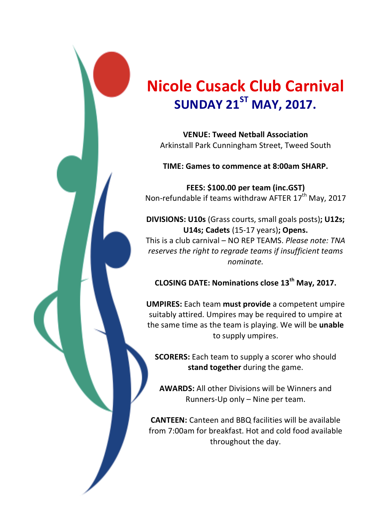

## **Nicole'Cusack'Club'Carnival SUNDAY 21<sup>ST</sup> MAY, 2017.**

**VENUE:'Tweed'Netball'Association** Arkinstall Park Cunningham Street, Tweed South

**TIME: Games'to'commence'at'8:00am'SHARP.**

**FEES: \$100.00 per team (inc.GST)** Non-refundable if teams withdraw AFTER 17<sup>th</sup> May, 2017

**DIVISIONS: U10s** (Grass courts, small goals posts); U12s; **U14s; Cadets** (15-17 years); Opens.

This is a club carnival – NO REP TEAMS. *Please note: TNA reserves the right to regrade teams if insufficient teams nominate.&*

**CLOSING'DATE:'Nominations'close'13th May,'2017.**

**UMPIRES:** Each team must provide a competent umpire suitably attired. Umpires may be required to umpire at the same time as the team is playing. We will be unable to supply umpires.

**SCORERS:** Each team to supply a scorer who should **stand together** during the game.

**AWARDS:** All other Divisions will be Winners and Runners-Up only – Nine per team.

**CANTEEN:** Canteen and BBQ facilities will be available from 7:00am for breakfast. Hot and cold food available throughout the day.